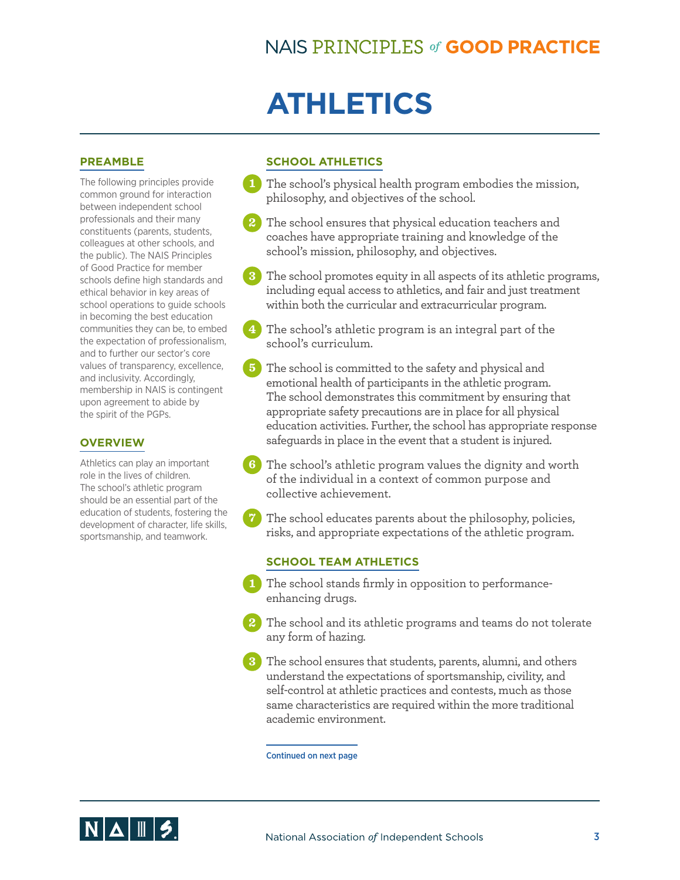# **ATHLETICS**

#### **PREAMBLE**

The following principles provide common ground for interaction between independent school professionals and their many constituents (parents, students, colleagues at other schools, and the public). The NAIS Principles of Good Practice for member schools define high standards and ethical behavior in key areas of school operations to guide schools in becoming the best education communities they can be, to embed the expectation of professionalism, and to further our sector's core values of transparency, excellence, and inclusivity. Accordingly, membership in NAIS is contingent upon agreement to abide by the spirit of the PGPs.

#### **OVERVIEW**

Athletics can play an important role in the lives of children. The school's athletic program should be an essential part of the education of students, fostering the development of character, life skills, sportsmanship, and teamwork.

### **SCHOOL ATHLETICS**

- **1** The school's physical health program embodies the mission, philosophy, and objectives of the school.
- **2** The school ensures that physical education teachers and coaches have appropriate training and knowledge of the school's mission, philosophy, and objectives.
- **3** The school promotes equity in all aspects of its athletic programs, including equal access to athletics, and fair and just treatment within both the curricular and extracurricular program.
- **4** The school's athletic program is an integral part of the school's curriculum.
- **5** The school is committed to the safety and physical and emotional health of participants in the athletic program. The school demonstrates this commitment by ensuring that appropriate safety precautions are in place for all physical education activities. Further, the school has appropriate response safeguards in place in the event that a student is injured.
- **6** The school's athletic program values the dignity and worth of the individual in a context of common purpose and collective achievement.
- **7** The school educates parents about the philosophy, policies, risks, and appropriate expectations of the athletic program.

#### **SCHOOL TEAM ATHLETICS**

- **1** The school stands firmly in opposition to performanceenhancing drugs.
- **2** The school and its athletic programs and teams do not tolerate any form of hazing.
- **3** The school ensures that students, parents, alumni, and others understand the expectations of sportsmanship, civility, and self-control at athletic practices and contests, much as those same characteristics are required within the more traditional academic environment.

#### Continued on next page